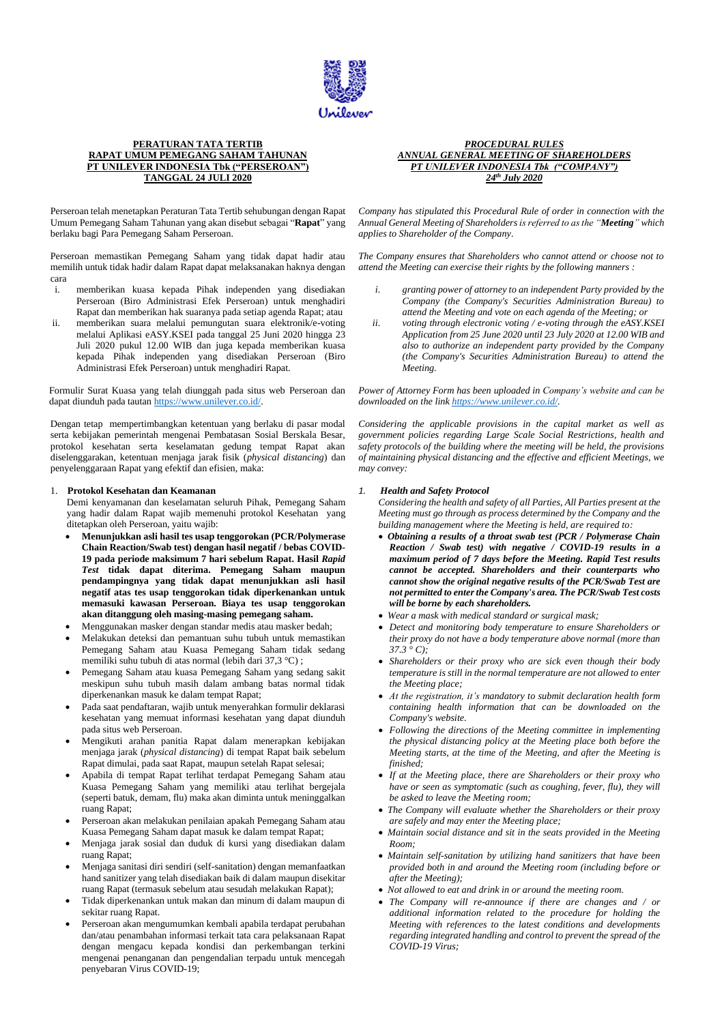

## **PERATURAN TATA TERTIB RAPAT UMUM PEMEGANG SAHAM TAHUNAN PT UNILEVER INDONESIA Tbk ("PERSEROAN") TANGGAL 24 JULI 2020**

Perseroan telah menetapkan Peraturan Tata Tertib sehubungan dengan Rapat Umum Pemegang Saham Tahunan yang akan disebut sebagai "**Rapat**" yang berlaku bagi Para Pemegang Saham Perseroan.

Perseroan memastikan Pemegang Saham yang tidak dapat hadir atau memilih untuk tidak hadir dalam Rapat dapat melaksanakan haknya dengan cara

- i. memberikan kuasa kepada Pihak independen yang disediakan Perseroan (Biro Administrasi Efek Perseroan) untuk menghadiri Rapat dan memberikan hak suaranya pada setiap agenda Rapat; atau
- ii. memberikan suara melalui pemungutan suara elektronik/e-voting melalui Aplikasi eASY.KSEI pada tanggal 25 Juni 2020 hingga 23 Juli 2020 pukul 12.00 WIB dan juga kepada memberikan kuasa kepada Pihak independen yang disediakan Perseroan (Biro Administrasi Efek Perseroan) untuk menghadiri Rapat.

Formulir Surat Kuasa yang telah diunggah pada situs web Perseroan dan dapat diunduh pada tautan [https://www.unilever.co.id/.](https://www.unilever.co.id/)

Dengan tetap mempertimbangkan ketentuan yang berlaku di pasar modal serta kebijakan pemerintah mengenai Pembatasan Sosial Berskala Besar, protokol kesehatan serta keselamatan gedung tempat Rapat akan diselenggarakan, ketentuan menjaga jarak fisik (*physical distancing*) dan penyelenggaraan Rapat yang efektif dan efisien, maka:

## 1. **Protokol Kesehatan dan Keamanan**

Demi kenyamanan dan keselamatan seluruh Pihak, Pemegang Saham yang hadir dalam Rapat wajib memenuhi protokol Kesehatan yang ditetapkan oleh Perseroan, yaitu wajib:

- **Menunjukkan asli hasil tes usap tenggorokan (PCR/Polymerase Chain Reaction/Swab test) dengan hasil negatif / bebas COVID-19 pada periode maksimum 7 hari sebelum Rapat. Hasil** *Rapid Test* **tidak dapat diterima. Pemegang Saham maupun pendampingnya yang tidak dapat menunjukkan asli hasil negatif atas tes usap tenggorokan tidak diperkenankan untuk memasuki kawasan Perseroan. Biaya tes usap tenggorokan akan ditanggung oleh masing-masing pemegang saham.**
- Menggunakan masker dengan standar medis atau masker bedah;
- Melakukan deteksi dan pemantuan suhu tubuh untuk memastikan Pemegang Saham atau Kuasa Pemegang Saham tidak sedang memiliki suhu tubuh di atas normal (lebih dari 37,3 °C) ;
- Pemegang Saham atau kuasa Pemegang Saham yang sedang sakit meskipun suhu tubuh masih dalam ambang batas normal tidak diperkenankan masuk ke dalam tempat Rapat;
- Pada saat pendaftaran, wajib untuk menyerahkan formulir deklarasi kesehatan yang memuat informasi kesehatan yang dapat diunduh pada situs web Perseroan.
- Mengikuti arahan panitia Rapat dalam menerapkan kebijakan menjaga jarak (*physical distancing*) di tempat Rapat baik sebelum Rapat dimulai, pada saat Rapat, maupun setelah Rapat selesai;
- Apabila di tempat Rapat terlihat terdapat Pemegang Saham atau Kuasa Pemegang Saham yang memiliki atau terlihat bergejala (seperti batuk, demam, flu) maka akan diminta untuk meninggalkan ruang Rapat;
- Perseroan akan melakukan penilaian apakah Pemegang Saham atau Kuasa Pemegang Saham dapat masuk ke dalam tempat Rapat;
- Menjaga jarak sosial dan duduk di kursi yang disediakan dalam ruang Rapat;
- Menjaga sanitasi diri sendiri (self-sanitation) dengan memanfaatkan hand sanitizer yang telah disediakan baik di dalam maupun disekitar ruang Rapat (termasuk sebelum atau sesudah melakukan Rapat);
- Tidak diperkenankan untuk makan dan minum di dalam maupun di sekitar ruang Rapat.
- Perseroan akan mengumumkan kembali apabila terdapat perubahan dan/atau penambahan informasi terkait tata cara pelaksanaan Rapat dengan mengacu kepada kondisi dan perkembangan terkini mengenai penanganan dan pengendalian terpadu untuk mencegah penyebaran Virus COVID-19;

#### *PROCEDURAL RULES ANNUAL GENERAL MEETING OF SHAREHOLDERS PT UNILEVER INDONESIA Tbk ("COMPANY") 24th July 2020*

*Company has stipulated this Procedural Rule of order in connection with the Annual General Meeting of Shareholders is referred to as the "Meeting" which applies to Shareholder of the Company.*

*The Company ensures that Shareholders who cannot attend or choose not to attend the Meeting can exercise their rights by the following manners :* 

- *i. granting power of attorney to an independent Party provided by the Company (the Company's Securities Administration Bureau) to attend the Meeting and vote on each agenda of the Meeting; or*
- *ii. voting through electronic voting / e-voting through the eASY.KSEI Application from 25 June 2020 until 23 July 2020 at 12.00 WIB and also to authorize an independent party provided by the Company (the Company's Securities Administration Bureau) to attend the Meeting.*

*Power of Attorney Form has been uploaded in Company's website and can be downloaded on the link [https://www.unilever.co.id/.](https://www.unilever.co.id/)*

*Considering the applicable provisions in the capital market as well as government policies regarding Large Scale Social Restrictions, health and safety protocols of the building where the meeting will be held, the provisions of maintaining physical distancing and the effective and efficient Meetings, we may convey:*

#### *1. Health and Safety Protocol*

*Considering the health and safety of all Parties, All Parties present at the Meeting must go through as process determined by the Company and the building management where the Meeting is held, are required to:*

- *Obtaining a results of a throat swab test (PCR / Polymerase Chain Reaction / Swab test) with negative / COVID-19 results in a maximum period of 7 days before the Meeting. Rapid Test results cannot be accepted. Shareholders and their counterparts who cannot show the original negative results of the PCR/Swab Test are not permitted to enter the Company's area. The PCR/Swab Test costs will be borne by each shareholders.*
- *Wear a mask with medical standard or surgical mask;*
- *Detect and monitoring body temperature to ensure Shareholders or their proxy do not have a body temperature above normal (more than 37.3 ° C);*
- *Shareholders or their proxy who are sick even though their body temperature is still in the normal temperature are not allowed to enter the Meeting place;*
- *At the registration, it's mandatory to submit declaration health form containing health information that can be downloaded on the Company's website.*
- *Following the directions of the Meeting committee in implementing the physical distancing policy at the Meeting place both before the Meeting starts, at the time of the Meeting, and after the Meeting is finished;*
- *If at the Meeting place, there are Shareholders or their proxy who have or seen as symptomatic (such as coughing, fever, flu), they will be asked to leave the Meeting room;*
- *The Company will evaluate whether the Shareholders or their proxy are safely and may enter the Meeting place;*
- *Maintain social distance and sit in the seats provided in the Meeting Room;*
- *Maintain self-sanitation by utilizing hand sanitizers that have been provided both in and around the Meeting room (including before or after the Meeting);*
- *Not allowed to eat and drink in or around the meeting room.*
- *The Company will re-announce if there are changes and / or additional information related to the procedure for holding the Meeting with references to the latest conditions and developments regarding integrated handling and control to prevent the spread of the COVID-19 Virus;*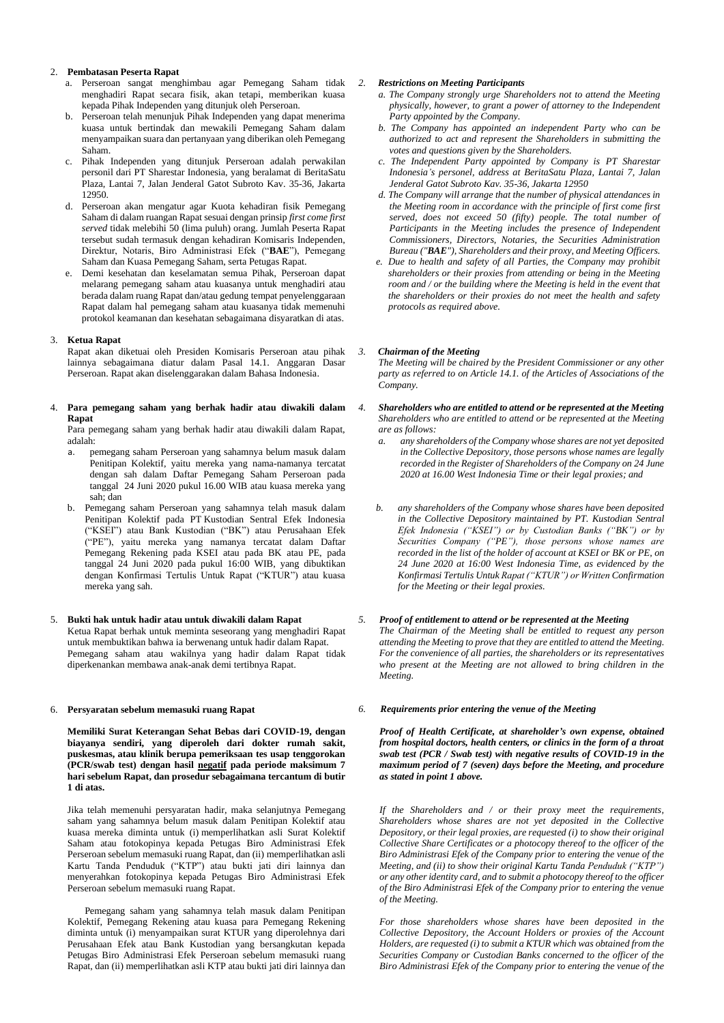# 2. **Pembatasan Peserta Rapat**

- a. Perseroan sangat menghimbau agar Pemegang Saham tidak menghadiri Rapat secara fisik, akan tetapi, memberikan kuasa kepada Pihak Independen yang ditunjuk oleh Perseroan.
- b. Perseroan telah menunjuk Pihak Independen yang dapat menerima kuasa untuk bertindak dan mewakili Pemegang Saham dalam menyampaikan suara dan pertanyaan yang diberikan oleh Pemegang Saham.
- c. Pihak Independen yang ditunjuk Perseroan adalah perwakilan personil dari PT Sharestar Indonesia, yang beralamat di BeritaSatu Plaza, Lantai 7, Jalan Jenderal Gatot Subroto Kav. 35-36, Jakarta 12950.
- d. Perseroan akan mengatur agar Kuota kehadiran fisik Pemegang Saham di dalam ruangan Rapat sesuai dengan prinsip *first come first served* tidak melebihi 50 (lima puluh) orang. Jumlah Peserta Rapat tersebut sudah termasuk dengan kehadiran Komisaris Independen, Direktur, Notaris, Biro Administrasi Efek ("**BAE**"), Pemegang Saham dan Kuasa Pemegang Saham, serta Petugas Rapat.
- e. Demi kesehatan dan keselamatan semua Pihak, Perseroan dapat melarang pemegang saham atau kuasanya untuk menghadiri atau berada dalam ruang Rapat dan/atau gedung tempat penyelenggaraan Rapat dalam hal pemegang saham atau kuasanya tidak memenuhi protokol keamanan dan kesehatan sebagaimana disyaratkan di atas.

### 3. **Ketua Rapat**

Rapat akan diketuai oleh Presiden Komisaris Perseroan atau pihak lainnya sebagaimana diatur dalam Pasal 14.1. Anggaran Dasar Perseroan. Rapat akan diselenggarakan dalam Bahasa Indonesia.

#### 4. **Para pemegang saham yang berhak hadir atau diwakili dalam Rapat**

Para pemegang saham yang berhak hadir atau diwakili dalam Rapat, adalah:

- a. pemegang saham Perseroan yang sahamnya belum masuk dalam Penitipan Kolektif, yaitu mereka yang nama-namanya tercatat dengan sah dalam Daftar Pemegang Saham Perseroan pada tanggal 24 Juni 2020 pukul 16.00 WIB atau kuasa mereka yang sah; dan
- b. Pemegang saham Perseroan yang sahamnya telah masuk dalam Penitipan Kolektif pada PT Kustodian Sentral Efek Indonesia ("KSEI") atau Bank Kustodian ("BK") atau Perusahaan Efek ("PE"), yaitu mereka yang namanya tercatat dalam Daftar Pemegang Rekening pada KSEI atau pada BK atau PE, pada tanggal 24 Juni 2020 pada pukul 16:00 WIB, yang dibuktikan dengan Konfirmasi Tertulis Untuk Rapat ("KTUR") atau kuasa mereka yang sah.

## 5. **Bukti hak untuk hadir atau untuk diwakili dalam Rapat**

Ketua Rapat berhak untuk meminta seseorang yang menghadiri Rapat untuk membuktikan bahwa ia berwenang untuk hadir dalam Rapat. Pemegang saham atau wakilnya yang hadir dalam Rapat tidak diperkenankan membawa anak-anak demi tertibnya Rapat.

## 6. **Persyaratan sebelum memasuki ruang Rapat**

**Memiliki Surat Keterangan Sehat Bebas dari COVID-19, dengan biayanya sendiri, yang diperoleh dari dokter rumah sakit, puskesmas, atau klinik berupa pemeriksaan tes usap tenggorokan (PCR/swab test) dengan hasil negatif pada periode maksimum 7 hari sebelum Rapat, dan prosedur sebagaimana tercantum di butir 1 di atas.**

Jika telah memenuhi persyaratan hadir, maka selanjutnya Pemegang saham yang sahamnya belum masuk dalam Penitipan Kolektif atau kuasa mereka diminta untuk (i) memperlihatkan asli Surat Kolektif Saham atau fotokopinya kepada Petugas Biro Administrasi Efek Perseroan sebelum memasuki ruang Rapat, dan (ii) memperlihatkan asli Kartu Tanda Penduduk ("KTP") atau bukti jati diri lainnya dan menyerahkan fotokopinya kepada Petugas Biro Administrasi Efek Perseroan sebelum memasuki ruang Rapat.

 Pemegang saham yang sahamnya telah masuk dalam Penitipan Kolektif, Pemegang Rekening atau kuasa para Pemegang Rekening diminta untuk (i) menyampaikan surat KTUR yang diperolehnya dari Perusahaan Efek atau Bank Kustodian yang bersangkutan kepada Petugas Biro Administrasi Efek Perseroan sebelum memasuki ruang Rapat, dan (ii) memperlihatkan asli KTP atau bukti jati diri lainnya dan

#### *2. Restrictions on Meeting Participants*

- *a. The Company strongly urge Shareholders not to attend the Meeting physically, however, to grant a power of attorney to the Independent Party appointed by the Company.*
- *b. The Company has appointed an independent Party who can be authorized to act and represent the Shareholders in submitting the votes and questions given by the Shareholders.*
- *c. The Independent Party appointed by Company is PT Sharestar Indonesia's personel, address at BeritaSatu Plaza, Lantai 7, Jalan Jenderal Gatot Subroto Kav. 35-36, Jakarta 12950*
- *d. The Company will arrange that the number of physical attendances in the Meeting room in accordance with the principle of first come first served, does not exceed 50 (fifty) people. The total number of*  Participants in the Meeting includes the presence of Independent *Commissioners, Directors, Notaries, the Securities Administration Bureau ("BAE"), Shareholders and their proxy, and Meeting Officers.*
- *e. Due to health and safety of all Parties, the Company may prohibit shareholders or their proxies from attending or being in the Meeting room and / or the building where the Meeting is held in the event that the shareholders or their proxies do not meet the health and safety protocols as required above.*

#### *3. Chairman of the Meeting*

*The Meeting will be chaired by the President Commissioner or any other party as referred to on Article 14.1. of the Articles of Associations of the Company.*

- *4. Shareholders who are entitled to attend or be represented at the Meeting Shareholders who are entitled to attend or be represented at the Meeting are as follows:*
	- *a. any shareholders of the Company whose shares are not yet deposited in the Collective Depository, those persons whose names are legally recorded in the Register of Shareholders of the Company on 24 June 2020 at 16.00 West Indonesia Time or their legal proxies; and*
	- *b. any shareholders of the Company whose shares have been deposited in the Collective Depository maintained by PT. Kustodian Sentral Efek Indonesia ("KSEI") or by Custodian Banks ("BK") or by Securities Company ("PE"), those persons whose names are recorded in the list of the holder of account at KSEI or BK or PE, on 24 June 2020 at 16:00 West Indonesia Time, as evidenced by the Konfirmasi Tertulis Untuk Rapat ("KTUR") or Written Confirmation for the Meeting or their legal proxies.*

### *5. Proof of entitlement to attend or be represented at the Meeting*

*The Chairman of the Meeting shall be entitled to request any person attending the Meeting to prove that they are entitled to attend the Meeting. For the convenience of all parties, the shareholders or its representatives who present at the Meeting are not allowed to bring children in the Meeting.*

#### *6. Requirements prior entering the venue of the Meeting*

*Proof of Health Certificate, at shareholder's own expense, obtained from hospital doctors, health centers, or clinics in the form of a throat swab test (PCR / Swab test) with negative results of COVID-19 in the maximum period of 7 (seven) days before the Meeting, and procedure as stated in point 1 above.*

*If the Shareholders and / or their proxy meet the requirements, Shareholders whose shares are not yet deposited in the Collective Depository, or their legal proxies, are requested (i) to show their original Collective Share Certificates or a photocopy thereof to the officer of the Biro Administrasi Efek of the Company prior to entering the venue of the Meeting, and (ii) to show their original Kartu Tanda Penduduk ("KTP") or any other identity card, and to submit a photocopy thereof to the officer of the Biro Administrasi Efek of the Company prior to entering the venue of the Meeting.* 

*For those shareholders whose shares have been deposited in the Collective Depository, the Account Holders or proxies of the Account Holders, are requested (i) to submit a KTUR which was obtained from the Securities Company or Custodian Banks concerned to the officer of the Biro Administrasi Efek of the Company prior to entering the venue of the*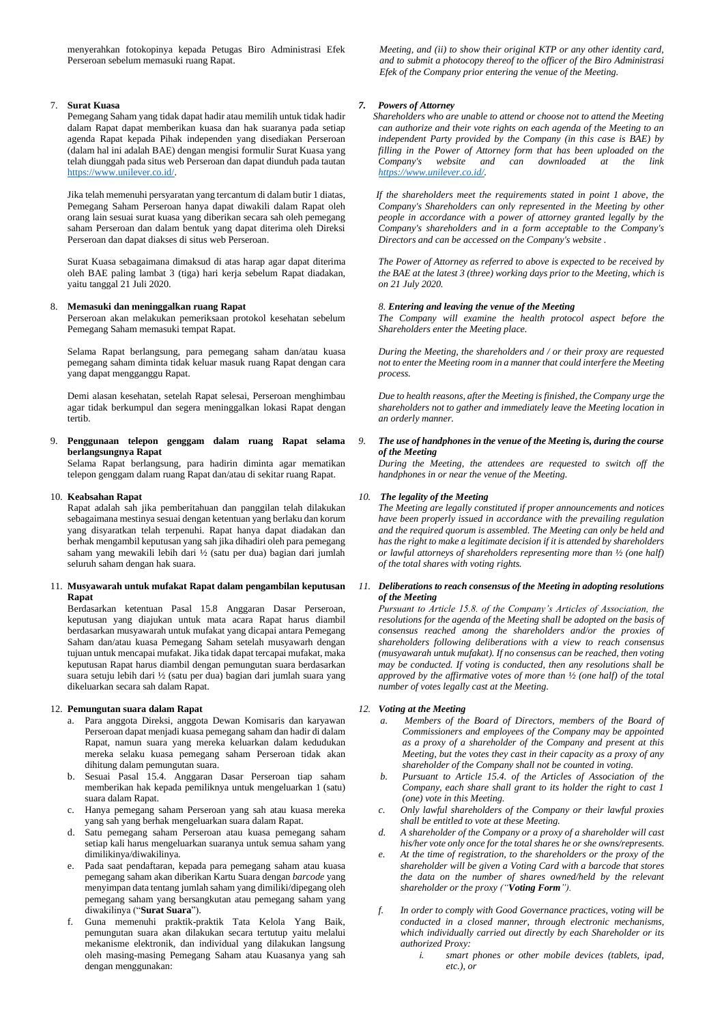menyerahkan fotokopinya kepada Petugas Biro Administrasi Efek Perseroan sebelum memasuki ruang Rapat.

## 7. **Surat Kuasa**

Pemegang Saham yang tidak dapat hadir atau memilih untuk tidak hadir dalam Rapat dapat memberikan kuasa dan hak suaranya pada setiap agenda Rapat kepada Pihak independen yang disediakan Perseroan (dalam hal ini adalah BAE) dengan mengisi formulir Surat Kuasa yang telah diunggah pada situs web Perseroan dan dapat diunduh pada tautan [https://www.unilever.co.id/.](https://www.unilever.co.id/)

Jika telah memenuhi persyaratan yang tercantum di dalam butir 1 diatas, Pemegang Saham Perseroan hanya dapat diwakili dalam Rapat oleh orang lain sesuai surat kuasa yang diberikan secara sah oleh pemegang saham Perseroan dan dalam bentuk yang dapat diterima oleh Direksi Perseroan dan dapat diakses di situs web Perseroan.

Surat Kuasa sebagaimana dimaksud di atas harap agar dapat diterima oleh BAE paling lambat 3 (tiga) hari kerja sebelum Rapat diadakan, yaitu tanggal 21 Juli 2020.

### 8. **Memasuki dan meninggalkan ruang Rapat**

Perseroan akan melakukan pemeriksaan protokol kesehatan sebelum Pemegang Saham memasuki tempat Rapat.

Selama Rapat berlangsung, para pemegang saham dan/atau kuasa pemegang saham diminta tidak keluar masuk ruang Rapat dengan cara yang dapat mengganggu Rapat.

Demi alasan kesehatan, setelah Rapat selesai, Perseroan menghimbau agar tidak berkumpul dan segera meninggalkan lokasi Rapat dengan tertib.

#### 9. **Penggunaan telepon genggam dalam ruang Rapat selama berlangsungnya Rapat**

Selama Rapat berlangsung, para hadirin diminta agar mematikan telepon genggam dalam ruang Rapat dan/atau di sekitar ruang Rapat.

#### 10. **Keabsahan Rapat**

Rapat adalah sah jika pemberitahuan dan panggilan telah dilakukan sebagaimana mestinya sesuai dengan ketentuan yang berlaku dan korum yang disyaratkan telah terpenuhi. Rapat hanya dapat diadakan dan berhak mengambil keputusan yang sah jika dihadiri oleh para pemegang saham yang mewakili lebih dari ½ (satu per dua) bagian dari jumlah seluruh saham dengan hak suara.

## 11. **Musyawarah untuk mufakat Rapat dalam pengambilan keputusan Rapat**

Berdasarkan ketentuan Pasal 15.8 Anggaran Dasar Perseroan, keputusan yang diajukan untuk mata acara Rapat harus diambil berdasarkan musyawarah untuk mufakat yang dicapai antara Pemegang Saham dan/atau kuasa Pemegang Saham setelah musyawarh dengan tujuan untuk mencapai mufakat. Jika tidak dapat tercapai mufakat, maka keputusan Rapat harus diambil dengan pemungutan suara berdasarkan suara setuju lebih dari ½ (satu per dua) bagian dari jumlah suara yang dikeluarkan secara sah dalam Rapat.

## 12. **Pemungutan suara dalam Rapat**

- a. Para anggota Direksi, anggota Dewan Komisaris dan karyawan Perseroan dapat menjadi kuasa pemegang saham dan hadir di dalam Rapat, namun suara yang mereka keluarkan dalam kedudukan mereka selaku kuasa pemegang saham Perseroan tidak akan dihitung dalam pemungutan suara.
- b. Sesuai Pasal 15.4. Anggaran Dasar Perseroan tiap saham memberikan hak kepada pemiliknya untuk mengeluarkan 1 (satu) suara dalam Rapat.
- c. Hanya pemegang saham Perseroan yang sah atau kuasa mereka yang sah yang berhak mengeluarkan suara dalam Rapat.
- d. Satu pemegang saham Perseroan atau kuasa pemegang saham setiap kali harus mengeluarkan suaranya untuk semua saham yang dimilikinya/diwakilinya.
- e. Pada saat pendaftaran, kepada para pemegang saham atau kuasa pemegang saham akan diberikan Kartu Suara dengan *barcode* yang menyimpan data tentang jumlah saham yang dimiliki/dipegang oleh pemegang saham yang bersangkutan atau pemegang saham yang diwakilinya ("**Surat Suara**").
- f. Guna memenuhi praktik-praktik Tata Kelola Yang Baik, pemungutan suara akan dilakukan secara tertutup yaitu melalui mekanisme elektronik, dan individual yang dilakukan langsung oleh masing-masing Pemegang Saham atau Kuasanya yang sah dengan menggunakan:

*Meeting, and (ii) to show their original KTP or any other identity card, and to submit a photocopy thereof to the officer of the Biro Administrasi Efek of the Company prior entering the venue of the Meeting.*

### *7. Powers of Attorney*

 *Shareholders who are unable to attend or choose not to attend the Meeting can authorize and their vote rights on each agenda of the Meeting to an independent Party provided by the Company (in this case is BAE) by filling in the Power of Attorney form that has been uploaded on the Company's website and can downloaded at the link [https://www.unilever.co.id/.](https://www.unilever.co.id/)*

 *If the shareholders meet the requirements stated in point 1 above, the Company's Shareholders can only represented in the Meeting by other people in accordance with a power of attorney granted legally by the Company's shareholders and in a form acceptable to the Company's Directors and can be accessed on the Company's website .*

*The Power of Attorney as referred to above is expected to be received by the BAE at the latest 3 (three) working days prior to the Meeting, which is on 21 July 2020.*

#### *8. Entering and leaving the venue of the Meeting*

*The Company will examine the health protocol aspect before the Shareholders enter the Meeting place.*

*During the Meeting, the shareholders and / or their proxy are requested not to enter the Meeting room in a manner that could interfere the Meeting process.*

*Due to health reasons, after the Meeting is finished, the Company urge the shareholders not to gather and immediately leave the Meeting location in an orderly manner.*

### *9. The use of handphones in the venue of the Meeting is, during the course of the Meeting*

*During the Meeting, the attendees are requested to switch off the handphones in or near the venue of the Meeting.*

## *10. The legality of the Meeting*

*The Meeting are legally constituted if proper announcements and notices have been properly issued in accordance with the prevailing regulation and the required quorum is assembled. The Meeting can only be held and has the right to make a legitimate decision if it is attended by shareholders or lawful attorneys of shareholders representing more than ½ (one half) of the total shares with voting rights.* 

## *11. Deliberations to reach consensus of the Meeting in adopting resolutions of the Meeting*

*Pursuant to Article 15.8. of the Company's Articles of Association, the resolutions for the agenda of the Meeting shall be adopted on the basis of consensus reached among the shareholders and/or the proxies of shareholders following deliberations with a view to reach consensus (musyawarah untuk mufakat). If no consensus can be reached, then voting may be conducted. If voting is conducted, then any resolutions shall be approved by the affirmative votes of more than ½ (one half) of the total number of votes legally cast at the Meeting.*

## *12. Voting at the Meeting*

- *a. Members of the Board of Directors, members of the Board of Commissioners and employees of the Company may be appointed as a proxy of a shareholder of the Company and present at this Meeting, but the votes they cast in their capacity as a proxy of any shareholder of the Company shall not be counted in voting.*
- *b. Pursuant to Article 15.4. of the Articles of Association of the Company, each share shall grant to its holder the right to cast 1 (one) vote in this Meeting.*
- *c. Only lawful shareholders of the Company or their lawful proxies shall be entitled to vote at these Meeting.*
- *d. A shareholder of the Company or a proxy of a shareholder will cast his/her vote only once for the total shares he or she owns/represents.*
- *e. At the time of registration, to the shareholders or the proxy of the shareholder will be given a Voting Card with a barcode that stores the data on the number of shares owned/held by the relevant shareholder or the proxy ("Voting Form").*
- *f. In order to comply with Good Governance practices, voting will be conducted in a closed manner, through electronic mechanisms, which individually carried out directly by each Shareholder or its authorized Proxy:*
	- *i. smart phones or other mobile devices (tablets, ipad, etc.), or*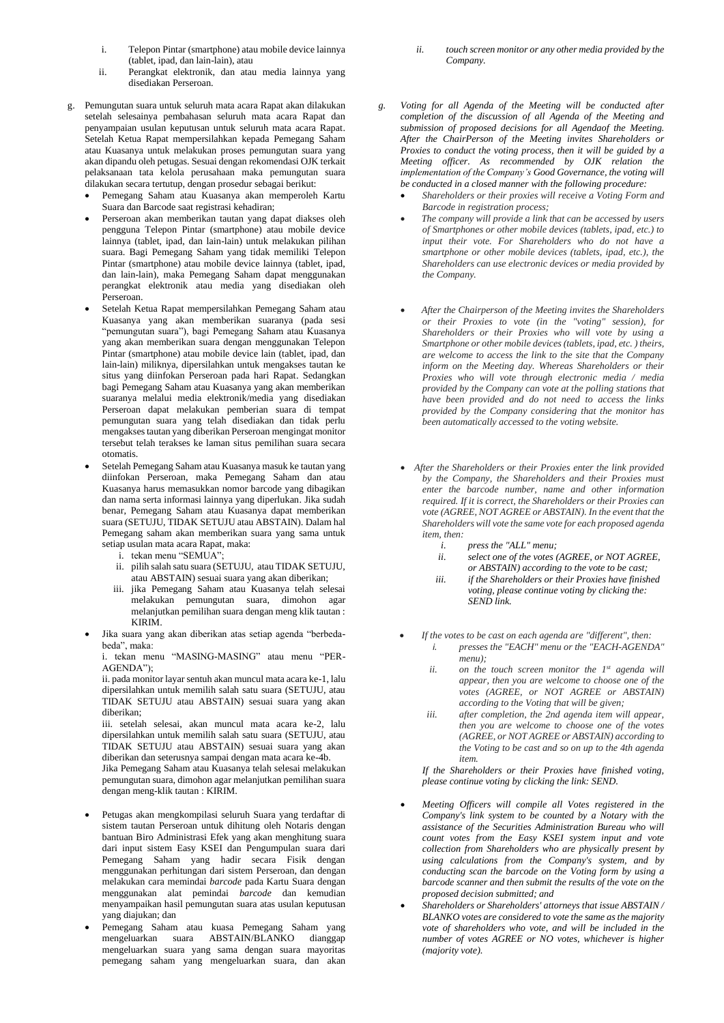- i. Telepon Pintar (smartphone) atau mobile device lainnya (tablet, ipad, dan lain-lain), atau
- ii. Perangkat elektronik, dan atau media lainnya yang disediakan Perseroan.
- g. Pemungutan suara untuk seluruh mata acara Rapat akan dilakukan setelah selesainya pembahasan seluruh mata acara Rapat dan penyampaian usulan keputusan untuk seluruh mata acara Rapat. Setelah Ketua Rapat mempersilahkan kepada Pemegang Saham atau Kuasanya untuk melakukan proses pemungutan suara yang akan dipandu oleh petugas. Sesuai dengan rekomendasi OJK terkait pelaksanaan tata kelola perusahaan maka pemungutan suara dilakukan secara tertutup, dengan prosedur sebagai berikut:
	- Pemegang Saham atau Kuasanya akan memperoleh Kartu Suara dan Barcode saat registrasi kehadiran;
	- Perseroan akan memberikan tautan yang dapat diakses oleh pengguna Telepon Pintar (smartphone) atau mobile device lainnya (tablet, ipad, dan lain-lain) untuk melakukan pilihan suara. Bagi Pemegang Saham yang tidak memiliki Telepon Pintar (smartphone) atau mobile device lainnya (tablet, ipad, dan lain-lain), maka Pemegang Saham dapat menggunakan perangkat elektronik atau media yang disediakan oleh Perseroan.
	- Setelah Ketua Rapat mempersilahkan Pemegang Saham atau Kuasanya yang akan memberikan suaranya (pada sesi "pemungutan suara"), bagi Pemegang Saham atau Kuasanya yang akan memberikan suara dengan menggunakan Telepon Pintar (smartphone) atau mobile device lain (tablet, ipad, dan lain-lain) miliknya, dipersilahkan untuk mengakses tautan ke situs yang diinfokan Perseroan pada hari Rapat. Sedangkan bagi Pemegang Saham atau Kuasanya yang akan memberikan suaranya melalui media elektronik/media yang disediakan Perseroan dapat melakukan pemberian suara di tempat pemungutan suara yang telah disediakan dan tidak perlu mengakses tautan yang diberikan Perseroan mengingat monitor tersebut telah terakses ke laman situs pemilihan suara secara otomatis.
	- Setelah Pemegang Saham atau Kuasanya masuk ke tautan yang diinfokan Perseroan, maka Pemegang Saham dan atau Kuasanya harus memasukkan nomor barcode yang dibagikan dan nama serta informasi lainnya yang diperlukan. Jika sudah benar, Pemegang Saham atau Kuasanya dapat memberikan suara (SETUJU, TIDAK SETUJU atau ABSTAIN). Dalam hal Pemegang saham akan memberikan suara yang sama untuk setiap usulan mata acara Rapat, maka:
		- i. tekan menu "SEMUA";
		- ii. pilih salah satu suara (SETUJU, atau TIDAK SETUJU, atau ABSTAIN) sesuai suara yang akan diberikan;
		- iii. jika Pemegang Saham atau Kuasanya telah selesai melakukan pemungutan suara, dimohon agar melanjutkan pemilihan suara dengan meng klik tautan : KIRIM.
		- Jika suara yang akan diberikan atas setiap agenda "berbedabeda", maka:

i. tekan menu "MASING-MASING" atau menu "PER-AGENDA");

ii. pada monitor layar sentuh akan muncul mata acara ke-1, lalu dipersilahkan untuk memilih salah satu suara (SETUJU, atau TIDAK SETUJU atau ABSTAIN) sesuai suara yang akan diberikan;

iii. setelah selesai, akan muncul mata acara ke-2, lalu dipersilahkan untuk memilih salah satu suara (SETUJU, atau TIDAK SETUJU atau ABSTAIN) sesuai suara yang akan diberikan dan seterusnya sampai dengan mata acara ke-4b.

Jika Pemegang Saham atau Kuasanya telah selesai melakukan pemungutan suara, dimohon agar melanjutkan pemilihan suara dengan meng-klik tautan : KIRIM.

- Petugas akan mengkompilasi seluruh Suara yang terdaftar di sistem tautan Perseroan untuk dihitung oleh Notaris dengan bantuan Biro Administrasi Efek yang akan menghitung suara dari input sistem Easy KSEI dan Pengumpulan suara dari Pemegang Saham yang hadir secara Fisik dengan menggunakan perhitungan dari sistem Perseroan, dan dengan melakukan cara memindai *barcode* pada Kartu Suara dengan menggunakan alat pemindai *barcode* dan kemudian menyampaikan hasil pemungutan suara atas usulan keputusan yang diajukan; dan
- Pemegang Saham atau kuasa Pemegang Saham yang mengeluarkan suara ABSTAIN/BLANKO dianggap mengeluarkan suara yang sama dengan suara mayoritas pemegang saham yang mengeluarkan suara, dan akan
- *ii. touch screen monitor or any other media provided by the Company.*
- *g. Voting for all Agenda of the Meeting will be conducted after completion of the discussion of all Agenda of the Meeting and submission of proposed decisions for all Agendaof the Meeting. After the ChairPerson of the Meeting invites Shareholders or Proxies to conduct the voting process, then it will be guided by a Meeting officer. As recommended by OJK relation the implementation of the Company's Good Governance, the voting will be conducted in a closed manner with the following procedure:*
	- *Shareholders or their proxies will receive a Voting Form and Barcode in registration process;*
	- • *The company will provide a link that can be accessed by users of Smartphones or other mobile devices (tablets, ipad, etc.) to input their vote. For Shareholders who do not have a smartphone or other mobile devices (tablets, ipad, etc.), the Shareholders can use electronic devices or media provided by the Company.*
	- • *After the Chairperson of the Meeting invites the Shareholders or their Proxies to vote (in the "voting" session), for Shareholders or their Proxies who will vote by using a Smartphone or other mobile devices (tablets, ipad, etc. ) theirs, are welcome to access the link to the site that the Company inform on the Meeting day. Whereas Shareholders or their Proxies who will vote through electronic media / media provided by the Company can vote at the polling stations that have been provided and do not need to access the links provided by the Company considering that the monitor has been automatically accessed to the voting website.*
	- *After the Shareholders or their Proxies enter the link provided by the Company, the Shareholders and their Proxies must enter the barcode number, name and other information required. If it is correct, the Shareholders or their Proxies can vote (AGREE, NOT AGREE or ABSTAIN). In the event that the Shareholders will vote the same vote for each proposed agenda item, then:*
		- *i. press the "ALL" menu;*
		- *ii. select one of the votes (AGREE, or NOT AGREE, or ABSTAIN) according to the vote to be cast;*
		- *iii. if the Shareholders or their Proxies have finished voting, please continue voting by clicking the: SEND link.*
		- • *If the votes to be cast on each agenda are "different", then: i. presses the "EACH" menu or the "EACH-AGENDA" menu);*
			- *ii. on the touch screen monitor the 1st agenda will appear, then you are welcome to choose one of the votes (AGREE, or NOT AGREE or ABSTAIN) according to the Voting that will be given;*
			- *iii. after completion, the 2nd agenda item will appear, then you are welcome to choose one of the votes (AGREE, or NOT AGREE or ABSTAIN) according to the Voting to be cast and so on up to the 4th agenda item.*

*If the Shareholders or their Proxies have finished voting, please continue voting by clicking the link: SEND.*

- *Meeting Officers will compile all Votes registered in the Company's link system to be counted by a Notary with the assistance of the Securities Administration Bureau who will count votes from the Easy KSEI system input and vote collection from Shareholders who are physically present by using calculations from the Company's system, and by conducting scan the barcode on the Voting form by using a barcode scanner and then submit the results of the vote on the proposed decision submitted; and*
- *Shareholders or Shareholders' attorneys that issue ABSTAIN / BLANKO votes are considered to vote the same as the majority vote of shareholders who vote, and will be included in the number of votes AGREE or NO votes, whichever is higher (majority vote).*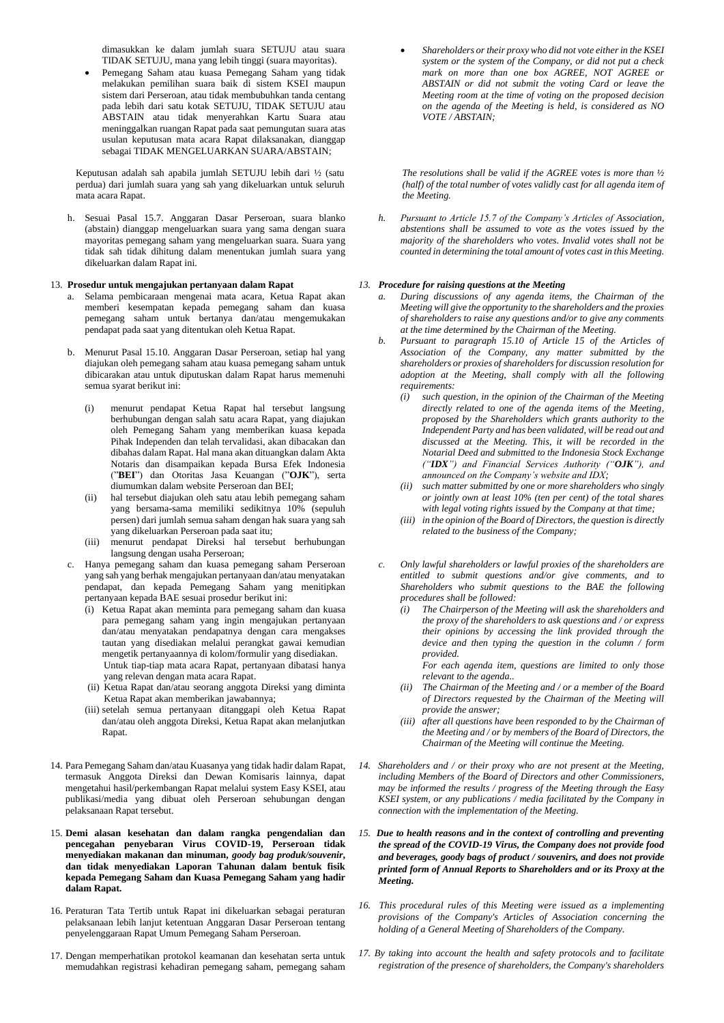dimasukkan ke dalam jumlah suara SETUJU atau suara TIDAK SETUJU, mana yang lebih tinggi (suara mayoritas).

• Pemegang Saham atau kuasa Pemegang Saham yang tidak melakukan pemilihan suara baik di sistem KSEI maupun sistem dari Perseroan, atau tidak membubuhkan tanda centang pada lebih dari satu kotak SETUJU, TIDAK SETUJU atau ABSTAIN atau tidak menyerahkan Kartu Suara atau meninggalkan ruangan Rapat pada saat pemungutan suara atas usulan keputusan mata acara Rapat dilaksanakan, dianggap sebagai TIDAK MENGELUARKAN SUARA/ABSTAIN;

Keputusan adalah sah apabila jumlah SETUJU lebih dari ½ (satu perdua) dari jumlah suara yang sah yang dikeluarkan untuk seluruh mata acara Rapat.

h. Sesuai Pasal 15.7. Anggaran Dasar Perseroan, suara blanko (abstain) dianggap mengeluarkan suara yang sama dengan suara mayoritas pemegang saham yang mengeluarkan suara. Suara yang tidak sah tidak dihitung dalam menentukan jumlah suara yang dikeluarkan dalam Rapat ini.

## 13. **Prosedur untuk mengajukan pertanyaan dalam Rapat**

- a. Selama pembicaraan mengenai mata acara, Ketua Rapat akan memberi kesempatan kepada pemegang saham dan kuasa pemegang saham untuk bertanya dan/atau mengemukakan pendapat pada saat yang ditentukan oleh Ketua Rapat.
- b. Menurut Pasal 15.10. Anggaran Dasar Perseroan, setiap hal yang diajukan oleh pemegang saham atau kuasa pemegang saham untuk dibicarakan atau untuk diputuskan dalam Rapat harus memenuhi semua syarat berikut ini:
	- (i) menurut pendapat Ketua Rapat hal tersebut langsung berhubungan dengan salah satu acara Rapat, yang diajukan oleh Pemegang Saham yang memberikan kuasa kepada Pihak Independen dan telah tervalidasi, akan dibacakan dan dibahas dalam Rapat. Hal mana akan dituangkan dalam Akta Notaris dan disampaikan kepada Bursa Efek Indonesia ("**BEI**") dan Otoritas Jasa Keuangan ("**OJK**"), serta diumumkan dalam website Perseroan dan BEI;
	- (ii) hal tersebut diajukan oleh satu atau lebih pemegang saham yang bersama-sama memiliki sedikitnya 10% (sepuluh persen) dari jumlah semua saham dengan hak suara yang sah yang dikeluarkan Perseroan pada saat itu;
	- (iii) menurut pendapat Direksi hal tersebut berhubungan langsung dengan usaha Perseroan;
- c. Hanya pemegang saham dan kuasa pemegang saham Perseroan yang sah yang berhak mengajukan pertanyaan dan/atau menyatakan pendapat, dan kepada Pemegang Saham yang menitipkan pertanyaan kepada BAE sesuai prosedur berikut ini:
	- (i) Ketua Rapat akan meminta para pemegang saham dan kuasa para pemegang saham yang ingin mengajukan pertanyaan dan/atau menyatakan pendapatnya dengan cara mengakses tautan yang disediakan melalui perangkat gawai kemudian mengetik pertanyaannya di kolom/formulir yang disediakan. Untuk tiap-tiap mata acara Rapat, pertanyaan dibatasi hanya

yang relevan dengan mata acara Rapat.

- (ii) Ketua Rapat dan/atau seorang anggota Direksi yang diminta Ketua Rapat akan memberikan jawabannya;
- (iii) setelah semua pertanyaan ditanggapi oleh Ketua Rapat dan/atau oleh anggota Direksi, Ketua Rapat akan melanjutkan Rapat.
- 14. Para Pemegang Saham dan/atau Kuasanya yang tidak hadir dalam Rapat, termasuk Anggota Direksi dan Dewan Komisaris lainnya, dapat mengetahui hasil/perkembangan Rapat melalui system Easy KSEI, atau publikasi/media yang dibuat oleh Perseroan sehubungan dengan pelaksanaan Rapat tersebut.
- 15. **Demi alasan kesehatan dan dalam rangka pengendalian dan pencegahan penyebaran Virus COVID-19, Perseroan tidak menyediakan makanan dan minuman,** *goody bag produk/souvenir***, dan tidak menyediakan Laporan Tahunan dalam bentuk fisik kepada Pemegang Saham dan Kuasa Pemegang Saham yang hadir dalam Rapat.**
- 16. Peraturan Tata Tertib untuk Rapat ini dikeluarkan sebagai peraturan pelaksanaan lebih lanjut ketentuan Anggaran Dasar Perseroan tentang penyelenggaraan Rapat Umum Pemegang Saham Perseroan.
- 17. Dengan memperhatikan protokol keamanan dan kesehatan serta untuk memudahkan registrasi kehadiran pemegang saham, pemegang saham

• *Shareholders or their proxy who did not vote either in the KSEI system or the system of the Company, or did not put a check mark on more than one box AGREE, NOT AGREE or ABSTAIN or did not submit the voting Card or leave the Meeting room at the time of voting on the proposed decision on the agenda of the Meeting is held, is considered as NO VOTE / ABSTAIN;*

*The resolutions shall be valid if the AGREE votes is more than ½ (half) of the total number of votes validly cast for all agenda item of the Meeting.*

*h. Pursuant to Article 15.7 of the Company's Articles of Association, abstentions shall be assumed to vote as the votes issued by the majority of the shareholders who votes. Invalid votes shall not be counted in determining the total amount of votes cast in this Meeting.*

## *13. Procedure for raising questions at the Meeting*

- *a. During discussions of any agenda items, the Chairman of the Meeting will give the opportunity to the shareholders and the proxies of shareholders to raise any questions and/or to give any comments at the time determined by the Chairman of the Meeting.*
- *b. Pursuant to paragraph 15.10 of Article 15 of the Articles of Association of the Company, any matter submitted by the shareholders or proxies of shareholders for discussion resolution for adoption at the Meeting, shall comply with all the following requirements:*
	- *(i) such question, in the opinion of the Chairman of the Meeting directly related to one of the agenda items of the Meeting, proposed by the Shareholders which grants authority to the Independent Party and has been validated, will be read out and discussed at the Meeting. This, it will be recorded in the Notarial Deed and submitted to the Indonesia Stock Exchange ("IDX") and Financial Services Authority ("OJK"), and announced on the Company's website and IDX;*
	- *(ii) such matter submitted by one or more shareholders who singly or jointly own at least 10% (ten per cent) of the total shares with legal voting rights issued by the Company at that time;*
	- *(iii) in the opinion of the Board of Directors, the question is directly related to the business of the Company;*
- *c. Only lawful shareholders or lawful proxies of the shareholders are entitled to submit questions and/or give comments, and to Shareholders who submit questions to the BAE the following procedures shall be followed:*
	- *(i) The Chairperson of the Meeting will ask the shareholders and the proxy of the shareholders to ask questions and / or express their opinions by accessing the link provided through the device and then typing the question in the column / form provided.*

 *For each agenda item, questions are limited to only those relevant to the agenda..*

- *(ii) The Chairman of the Meeting and / or a member of the Board of Directors requested by the Chairman of the Meeting will provide the answer;*
- *(iii) after all questions have been responded to by the Chairman of the Meeting and / or by members of the Board of Directors, the Chairman of the Meeting will continue the Meeting.*
- *14. Shareholders and / or their proxy who are not present at the Meeting, including Members of the Board of Directors and other Commissioners, may be informed the results / progress of the Meeting through the Easy KSEI system, or any publications / media facilitated by the Company in connection with the implementation of the Meeting.*
- *15. Due to health reasons and in the context of controlling and preventing the spread of the COVID-19 Virus, the Company does not provide food and beverages, goody bags of product / souvenirs, and does not provide printed form of Annual Reports to Shareholders and or its Proxy at the Meeting.*
- *16. This procedural rules of this Meeting were issued as a implementing provisions of the Company's Articles of Association concerning the holding of a General Meeting of Shareholders of the Company.*
- *17. By taking into account the health and safety protocols and to facilitate registration of the presence of shareholders, the Company's shareholders*